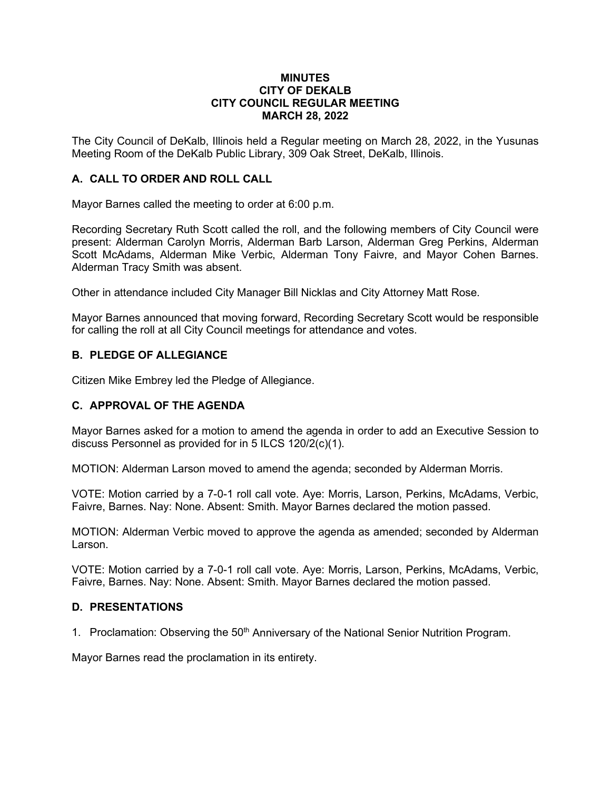#### **MINUTES CITY OF DEKALB CITY COUNCIL REGULAR MEETING MARCH 28, 2022**

The City Council of DeKalb, Illinois held a Regular meeting on March 28, 2022, in the Yusunas Meeting Room of the DeKalb Public Library, 309 Oak Street, DeKalb, Illinois.

# **A. CALL TO ORDER AND ROLL CALL**

Mayor Barnes called the meeting to order at 6:00 p.m.

Recording Secretary Ruth Scott called the roll, and the following members of City Council were present: Alderman Carolyn Morris, Alderman Barb Larson, Alderman Greg Perkins, Alderman Scott McAdams, Alderman Mike Verbic, Alderman Tony Faivre, and Mayor Cohen Barnes. Alderman Tracy Smith was absent.

Other in attendance included City Manager Bill Nicklas and City Attorney Matt Rose.

Mayor Barnes announced that moving forward, Recording Secretary Scott would be responsible for calling the roll at all City Council meetings for attendance and votes.

## **B. PLEDGE OF ALLEGIANCE**

Citizen Mike Embrey led the Pledge of Allegiance.

#### **C. APPROVAL OF THE AGENDA**

Mayor Barnes asked for a motion to amend the agenda in order to add an Executive Session to discuss Personnel as provided for in 5 ILCS 120/2(c)(1).

MOTION: Alderman Larson moved to amend the agenda; seconded by Alderman Morris.

VOTE: Motion carried by a 7-0-1 roll call vote. Aye: Morris, Larson, Perkins, McAdams, Verbic, Faivre, Barnes. Nay: None. Absent: Smith. Mayor Barnes declared the motion passed.

MOTION: Alderman Verbic moved to approve the agenda as amended; seconded by Alderman Larson.

VOTE: Motion carried by a 7-0-1 roll call vote. Aye: Morris, Larson, Perkins, McAdams, Verbic, Faivre, Barnes. Nay: None. Absent: Smith. Mayor Barnes declared the motion passed.

#### **D. PRESENTATIONS**

1. Proclamation: Observing the 50<sup>th</sup> Anniversary of the National Senior Nutrition Program.

Mayor Barnes read the proclamation in its entirety.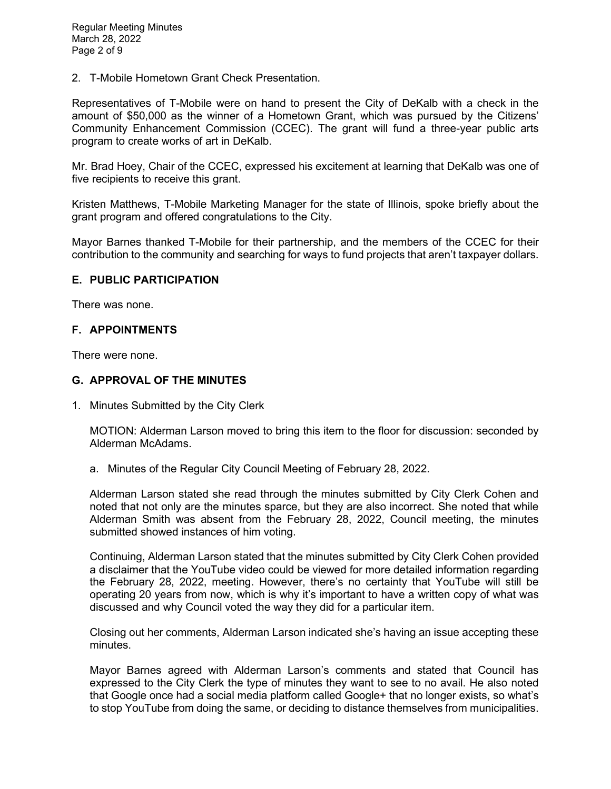2. T-Mobile Hometown Grant Check Presentation.

Representatives of T-Mobile were on hand to present the City of DeKalb with a check in the amount of \$50,000 as the winner of a Hometown Grant, which was pursued by the Citizens' Community Enhancement Commission (CCEC). The grant will fund a three-year public arts program to create works of art in DeKalb.

Mr. Brad Hoey, Chair of the CCEC, expressed his excitement at learning that DeKalb was one of five recipients to receive this grant.

Kristen Matthews, T-Mobile Marketing Manager for the state of Illinois, spoke briefly about the grant program and offered congratulations to the City.

Mayor Barnes thanked T-Mobile for their partnership, and the members of the CCEC for their contribution to the community and searching for ways to fund projects that aren't taxpayer dollars.

## **E. PUBLIC PARTICIPATION**

There was none.

## **F. APPOINTMENTS**

There were none.

## **G. APPROVAL OF THE MINUTES**

1. Minutes Submitted by the City Clerk

MOTION: Alderman Larson moved to bring this item to the floor for discussion: seconded by Alderman McAdams.

a. Minutes of the Regular City Council Meeting of February 28, 2022.

Alderman Larson stated she read through the minutes submitted by City Clerk Cohen and noted that not only are the minutes sparce, but they are also incorrect. She noted that while Alderman Smith was absent from the February 28, 2022, Council meeting, the minutes submitted showed instances of him voting.

Continuing, Alderman Larson stated that the minutes submitted by City Clerk Cohen provided a disclaimer that the YouTube video could be viewed for more detailed information regarding the February 28, 2022, meeting. However, there's no certainty that YouTube will still be operating 20 years from now, which is why it's important to have a written copy of what was discussed and why Council voted the way they did for a particular item.

Closing out her comments, Alderman Larson indicated she's having an issue accepting these minutes.

Mayor Barnes agreed with Alderman Larson's comments and stated that Council has expressed to the City Clerk the type of minutes they want to see to no avail. He also noted that Google once had a social media platform called Google+ that no longer exists, so what's to stop YouTube from doing the same, or deciding to distance themselves from municipalities.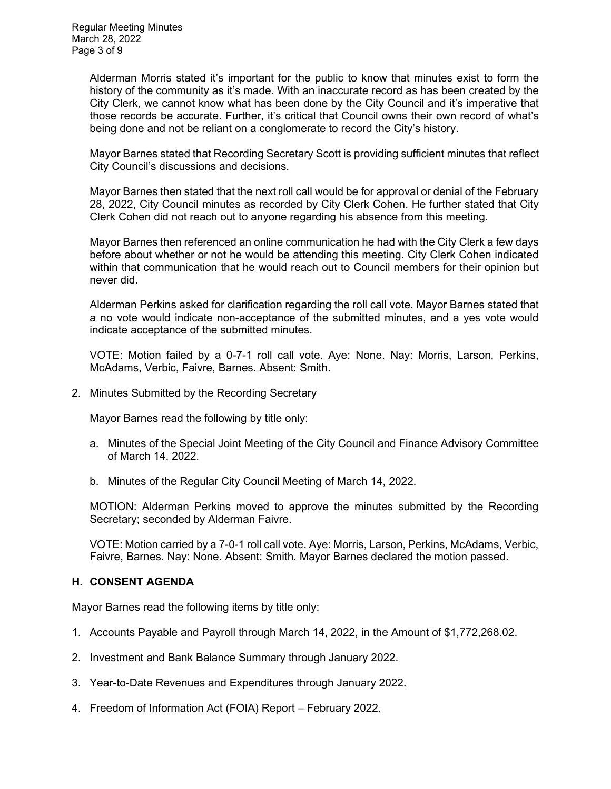Alderman Morris stated it's important for the public to know that minutes exist to form the history of the community as it's made. With an inaccurate record as has been created by the City Clerk, we cannot know what has been done by the City Council and it's imperative that those records be accurate. Further, it's critical that Council owns their own record of what's being done and not be reliant on a conglomerate to record the City's history.

Mayor Barnes stated that Recording Secretary Scott is providing sufficient minutes that reflect City Council's discussions and decisions.

Mayor Barnes then stated that the next roll call would be for approval or denial of the February 28, 2022, City Council minutes as recorded by City Clerk Cohen. He further stated that City Clerk Cohen did not reach out to anyone regarding his absence from this meeting.

Mayor Barnes then referenced an online communication he had with the City Clerk a few days before about whether or not he would be attending this meeting. City Clerk Cohen indicated within that communication that he would reach out to Council members for their opinion but never did.

Alderman Perkins asked for clarification regarding the roll call vote. Mayor Barnes stated that a no vote would indicate non-acceptance of the submitted minutes, and a yes vote would indicate acceptance of the submitted minutes.

VOTE: Motion failed by a 0-7-1 roll call vote. Aye: None. Nay: Morris, Larson, Perkins, McAdams, Verbic, Faivre, Barnes. Absent: Smith.

2. Minutes Submitted by the Recording Secretary

Mayor Barnes read the following by title only:

- a. Minutes of the Special Joint Meeting of the City Council and Finance Advisory Committee of March 14, 2022.
- b. Minutes of the Regular City Council Meeting of March 14, 2022.

MOTION: Alderman Perkins moved to approve the minutes submitted by the Recording Secretary; seconded by Alderman Faivre.

VOTE: Motion carried by a 7-0-1 roll call vote. Aye: Morris, Larson, Perkins, McAdams, Verbic, Faivre, Barnes. Nay: None. Absent: Smith. Mayor Barnes declared the motion passed.

# **H. CONSENT AGENDA**

Mayor Barnes read the following items by title only:

- 1. Accounts Payable and Payroll through March 14, 2022, in the Amount of \$1,772,268.02.
- 2. Investment and Bank Balance Summary through January 2022.
- 3. Year-to-Date Revenues and Expenditures through January 2022.
- 4. Freedom of Information Act (FOIA) Report February 2022.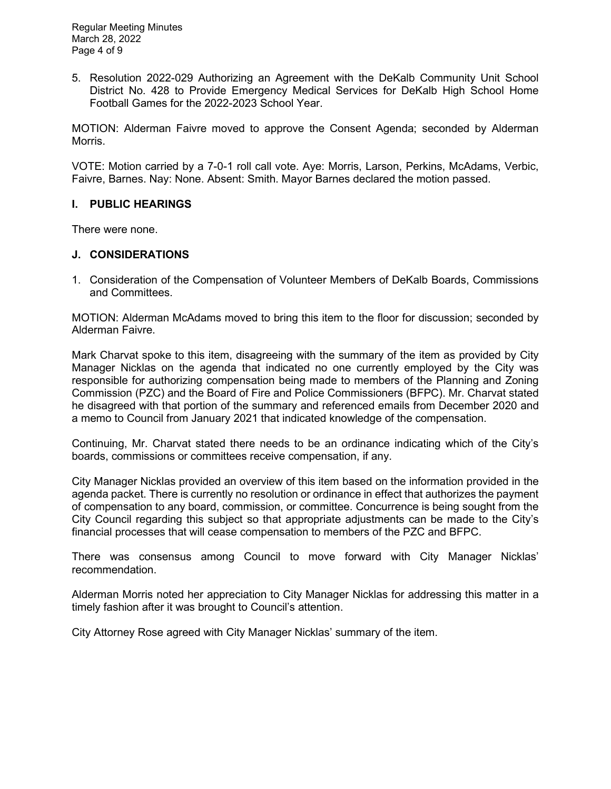5. Resolution 2022-029 Authorizing an Agreement with the DeKalb Community Unit School District No. 428 to Provide Emergency Medical Services for DeKalb High School Home Football Games for the 2022-2023 School Year.

MOTION: Alderman Faivre moved to approve the Consent Agenda; seconded by Alderman Morris.

VOTE: Motion carried by a 7-0-1 roll call vote. Aye: Morris, Larson, Perkins, McAdams, Verbic, Faivre, Barnes. Nay: None. Absent: Smith. Mayor Barnes declared the motion passed.

## **I. PUBLIC HEARINGS**

There were none.

## **J. CONSIDERATIONS**

1. Consideration of the Compensation of Volunteer Members of DeKalb Boards, Commissions and Committees.

MOTION: Alderman McAdams moved to bring this item to the floor for discussion; seconded by Alderman Faivre.

Mark Charvat spoke to this item, disagreeing with the summary of the item as provided by City Manager Nicklas on the agenda that indicated no one currently employed by the City was responsible for authorizing compensation being made to members of the Planning and Zoning Commission (PZC) and the Board of Fire and Police Commissioners (BFPC). Mr. Charvat stated he disagreed with that portion of the summary and referenced emails from December 2020 and a memo to Council from January 2021 that indicated knowledge of the compensation.

Continuing, Mr. Charvat stated there needs to be an ordinance indicating which of the City's boards, commissions or committees receive compensation, if any.

City Manager Nicklas provided an overview of this item based on the information provided in the agenda packet. There is currently no resolution or ordinance in effect that authorizes the payment of compensation to any board, commission, or committee. Concurrence is being sought from the City Council regarding this subject so that appropriate adjustments can be made to the City's financial processes that will cease compensation to members of the PZC and BFPC.

There was consensus among Council to move forward with City Manager Nicklas' recommendation.

Alderman Morris noted her appreciation to City Manager Nicklas for addressing this matter in a timely fashion after it was brought to Council's attention.

City Attorney Rose agreed with City Manager Nicklas' summary of the item.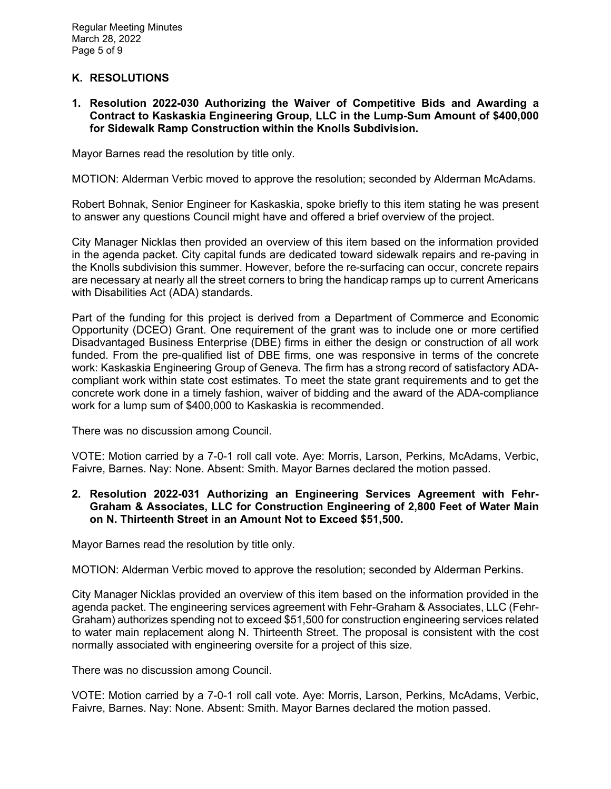# **K. RESOLUTIONS**

**1. Resolution 2022-030 Authorizing the Waiver of Competitive Bids and Awarding a Contract to Kaskaskia Engineering Group, LLC in the Lump-Sum Amount of \$400,000 for Sidewalk Ramp Construction within the Knolls Subdivision.** 

Mayor Barnes read the resolution by title only.

MOTION: Alderman Verbic moved to approve the resolution; seconded by Alderman McAdams.

Robert Bohnak, Senior Engineer for Kaskaskia, spoke briefly to this item stating he was present to answer any questions Council might have and offered a brief overview of the project.

City Manager Nicklas then provided an overview of this item based on the information provided in the agenda packet. City capital funds are dedicated toward sidewalk repairs and re-paving in the Knolls subdivision this summer. However, before the re-surfacing can occur, concrete repairs are necessary at nearly all the street corners to bring the handicap ramps up to current Americans with Disabilities Act (ADA) standards.

Part of the funding for this project is derived from a Department of Commerce and Economic Opportunity (DCEO) Grant. One requirement of the grant was to include one or more certified Disadvantaged Business Enterprise (DBE) firms in either the design or construction of all work funded. From the pre-qualified list of DBE firms, one was responsive in terms of the concrete work: Kaskaskia Engineering Group of Geneva. The firm has a strong record of satisfactory ADAcompliant work within state cost estimates. To meet the state grant requirements and to get the concrete work done in a timely fashion, waiver of bidding and the award of the ADA-compliance work for a lump sum of \$400,000 to Kaskaskia is recommended.

There was no discussion among Council.

VOTE: Motion carried by a 7-0-1 roll call vote. Aye: Morris, Larson, Perkins, McAdams, Verbic, Faivre, Barnes. Nay: None. Absent: Smith. Mayor Barnes declared the motion passed.

**2. Resolution 2022-031 Authorizing an Engineering Services Agreement with Fehr-Graham & Associates, LLC for Construction Engineering of 2,800 Feet of Water Main on N. Thirteenth Street in an Amount Not to Exceed \$51,500.** 

Mayor Barnes read the resolution by title only.

MOTION: Alderman Verbic moved to approve the resolution; seconded by Alderman Perkins.

City Manager Nicklas provided an overview of this item based on the information provided in the agenda packet. The engineering services agreement with Fehr-Graham & Associates, LLC (Fehr-Graham) authorizes spending not to exceed \$51,500 for construction engineering services related to water main replacement along N. Thirteenth Street. The proposal is consistent with the cost normally associated with engineering oversite for a project of this size.

There was no discussion among Council.

VOTE: Motion carried by a 7-0-1 roll call vote. Aye: Morris, Larson, Perkins, McAdams, Verbic, Faivre, Barnes. Nay: None. Absent: Smith. Mayor Barnes declared the motion passed.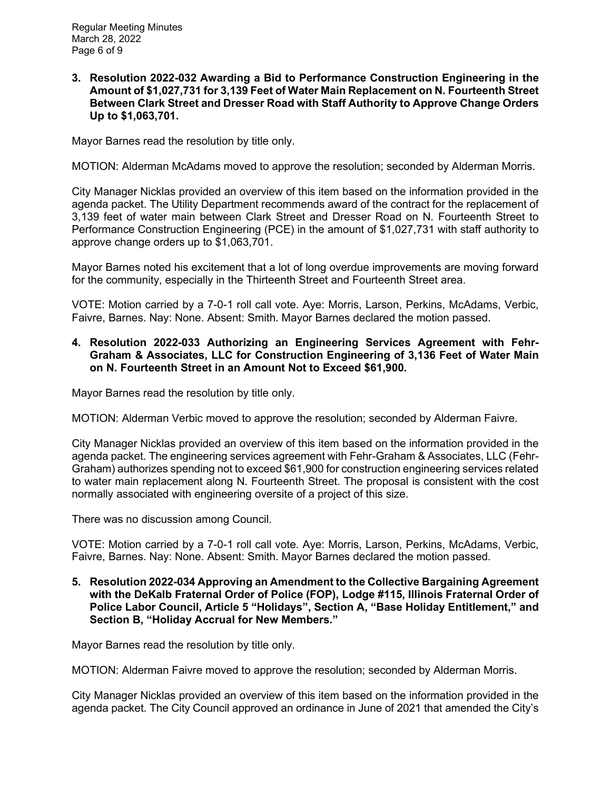**3. Resolution 2022-032 Awarding a Bid to Performance Construction Engineering in the Amount of \$1,027,731 for 3,139 Feet of Water Main Replacement on N. Fourteenth Street Between Clark Street and Dresser Road with Staff Authority to Approve Change Orders Up to \$1,063,701.** 

Mayor Barnes read the resolution by title only.

MOTION: Alderman McAdams moved to approve the resolution; seconded by Alderman Morris.

City Manager Nicklas provided an overview of this item based on the information provided in the agenda packet. The Utility Department recommends award of the contract for the replacement of 3,139 feet of water main between Clark Street and Dresser Road on N. Fourteenth Street to Performance Construction Engineering (PCE) in the amount of \$1,027,731 with staff authority to approve change orders up to \$1,063,701.

Mayor Barnes noted his excitement that a lot of long overdue improvements are moving forward for the community, especially in the Thirteenth Street and Fourteenth Street area.

VOTE: Motion carried by a 7-0-1 roll call vote. Aye: Morris, Larson, Perkins, McAdams, Verbic, Faivre, Barnes. Nay: None. Absent: Smith. Mayor Barnes declared the motion passed.

## **4. Resolution 2022-033 Authorizing an Engineering Services Agreement with Fehr-Graham & Associates, LLC for Construction Engineering of 3,136 Feet of Water Main on N. Fourteenth Street in an Amount Not to Exceed \$61,900.**

Mayor Barnes read the resolution by title only.

MOTION: Alderman Verbic moved to approve the resolution; seconded by Alderman Faivre.

City Manager Nicklas provided an overview of this item based on the information provided in the agenda packet. The engineering services agreement with Fehr-Graham & Associates, LLC (Fehr-Graham) authorizes spending not to exceed \$61,900 for construction engineering services related to water main replacement along N. Fourteenth Street. The proposal is consistent with the cost normally associated with engineering oversite of a project of this size.

There was no discussion among Council.

VOTE: Motion carried by a 7-0-1 roll call vote. Aye: Morris, Larson, Perkins, McAdams, Verbic, Faivre, Barnes. Nay: None. Absent: Smith. Mayor Barnes declared the motion passed.

**5. Resolution 2022-034 Approving an Amendment to the Collective Bargaining Agreement with the DeKalb Fraternal Order of Police (FOP), Lodge #115, Illinois Fraternal Order of Police Labor Council, Article 5 "Holidays", Section A, "Base Holiday Entitlement," and Section B, "Holiday Accrual for New Members."**

Mayor Barnes read the resolution by title only.

MOTION: Alderman Faivre moved to approve the resolution; seconded by Alderman Morris.

City Manager Nicklas provided an overview of this item based on the information provided in the agenda packet. The City Council approved an ordinance in June of 2021 that amended the City's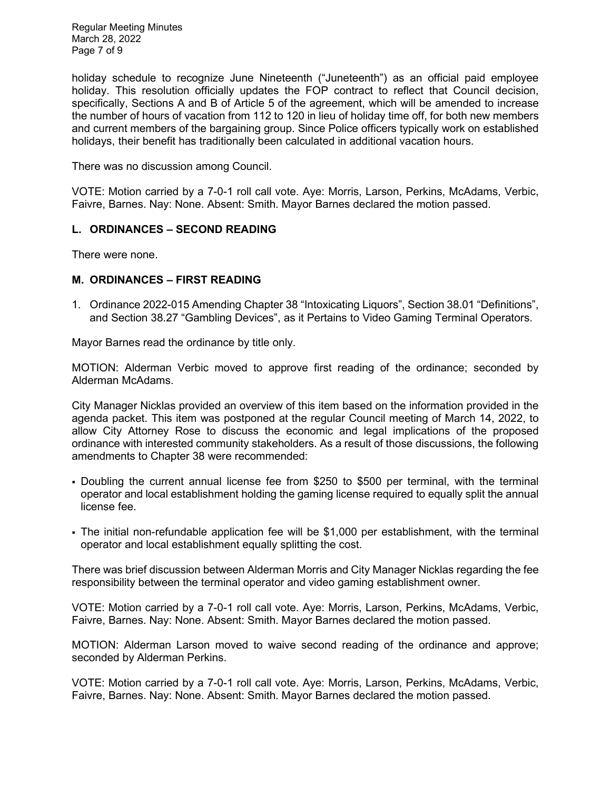Regular Meeting Minutes March 28, 2022 Page 7 of 9

holiday schedule to recognize June Nineteenth ("Juneteenth") as an official paid employee holiday. This resolution officially updates the FOP contract to reflect that Council decision, specifically, Sections A and B of Article 5 of the agreement, which will be amended to increase the number of hours of vacation from 112 to 120 in lieu of holiday time off, for both new members and current members of the bargaining group. Since Police officers typically work on established holidays, their benefit has traditionally been calculated in additional vacation hours.

There was no discussion among Council.

VOTE: Motion carried by a 7-0-1 roll call vote. Aye: Morris, Larson, Perkins, McAdams, Verbic, Faivre, Barnes. Nay: None. Absent: Smith. Mayor Barnes declared the motion passed.

# **L. ORDINANCES – SECOND READING**

There were none.

## **M. ORDINANCES – FIRST READING**

1. Ordinance 2022-015 Amending Chapter 38 "Intoxicating Liquors", Section 38.01 "Definitions", and Section 38.27 "Gambling Devices", as it Pertains to Video Gaming Terminal Operators.

Mayor Barnes read the ordinance by title only.

MOTION: Alderman Verbic moved to approve first reading of the ordinance; seconded by Alderman McAdams.

City Manager Nicklas provided an overview of this item based on the information provided in the agenda packet. This item was postponed at the regular Council meeting of March 14, 2022, to allow City Attorney Rose to discuss the economic and legal implications of the proposed ordinance with interested community stakeholders. As a result of those discussions, the following amendments to Chapter 38 were recommended:

- Doubling the current annual license fee from \$250 to \$500 per terminal, with the terminal operator and local establishment holding the gaming license required to equally split the annual license fee.
- The initial non-refundable application fee will be \$1,000 per establishment, with the terminal operator and local establishment equally splitting the cost.

There was brief discussion between Alderman Morris and City Manager Nicklas regarding the fee responsibility between the terminal operator and video gaming establishment owner.

VOTE: Motion carried by a 7-0-1 roll call vote. Aye: Morris, Larson, Perkins, McAdams, Verbic, Faivre, Barnes. Nay: None. Absent: Smith. Mayor Barnes declared the motion passed.

MOTION: Alderman Larson moved to waive second reading of the ordinance and approve; seconded by Alderman Perkins.

VOTE: Motion carried by a 7-0-1 roll call vote. Aye: Morris, Larson, Perkins, McAdams, Verbic, Faivre, Barnes. Nay: None. Absent: Smith. Mayor Barnes declared the motion passed.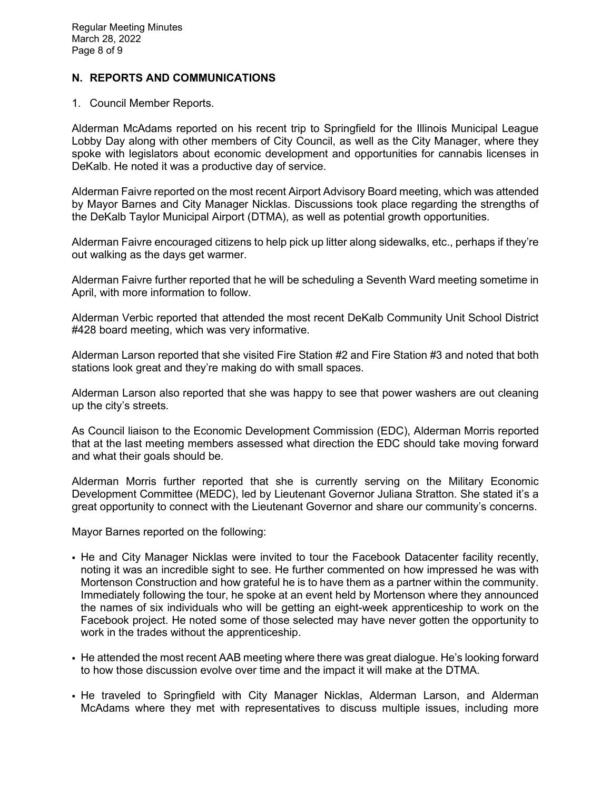# **N. REPORTS AND COMMUNICATIONS**

1. Council Member Reports.

Alderman McAdams reported on his recent trip to Springfield for the Illinois Municipal League Lobby Day along with other members of City Council, as well as the City Manager, where they spoke with legislators about economic development and opportunities for cannabis licenses in DeKalb. He noted it was a productive day of service.

Alderman Faivre reported on the most recent Airport Advisory Board meeting, which was attended by Mayor Barnes and City Manager Nicklas. Discussions took place regarding the strengths of the DeKalb Taylor Municipal Airport (DTMA), as well as potential growth opportunities.

Alderman Faivre encouraged citizens to help pick up litter along sidewalks, etc., perhaps if they're out walking as the days get warmer.

Alderman Faivre further reported that he will be scheduling a Seventh Ward meeting sometime in April, with more information to follow.

Alderman Verbic reported that attended the most recent DeKalb Community Unit School District #428 board meeting, which was very informative.

Alderman Larson reported that she visited Fire Station #2 and Fire Station #3 and noted that both stations look great and they're making do with small spaces.

Alderman Larson also reported that she was happy to see that power washers are out cleaning up the city's streets.

As Council liaison to the Economic Development Commission (EDC), Alderman Morris reported that at the last meeting members assessed what direction the EDC should take moving forward and what their goals should be.

Alderman Morris further reported that she is currently serving on the Military Economic Development Committee (MEDC), led by Lieutenant Governor Juliana Stratton. She stated it's a great opportunity to connect with the Lieutenant Governor and share our community's concerns.

Mayor Barnes reported on the following:

- He and City Manager Nicklas were invited to tour the Facebook Datacenter facility recently, noting it was an incredible sight to see. He further commented on how impressed he was with Mortenson Construction and how grateful he is to have them as a partner within the community. Immediately following the tour, he spoke at an event held by Mortenson where they announced the names of six individuals who will be getting an eight-week apprenticeship to work on the Facebook project. He noted some of those selected may have never gotten the opportunity to work in the trades without the apprenticeship.
- He attended the most recent AAB meeting where there was great dialogue. He's looking forward to how those discussion evolve over time and the impact it will make at the DTMA.
- He traveled to Springfield with City Manager Nicklas, Alderman Larson, and Alderman McAdams where they met with representatives to discuss multiple issues, including more